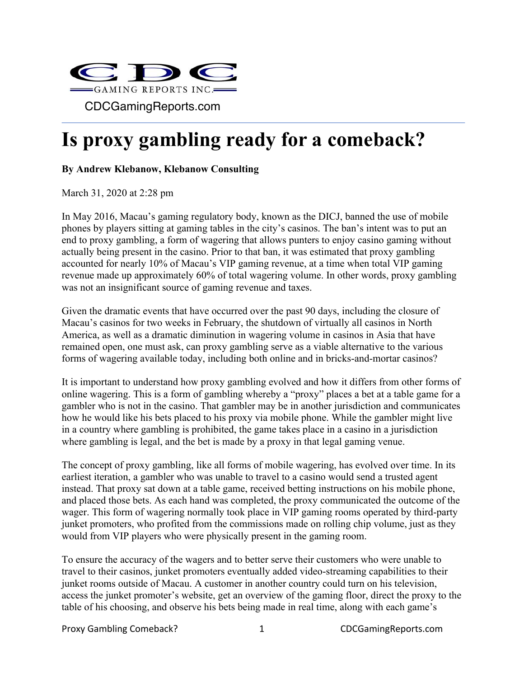

## **Is proxy gambling ready for a comeback?**

## **By Andrew Klebanow, Klebanow Consulting**

March 31, 2020 at 2:28 pm

In May 2016, Macau's gaming regulatory body, known as the DICJ, banned the use of mobile phones by players sitting at gaming tables in the city's casinos. The ban's intent was to put an end to proxy gambling, a form of wagering that allows punters to enjoy casino gaming without actually being present in the casino. Prior to that ban, it was estimated that proxy gambling accounted for nearly 10% of Macau's VIP gaming revenue, at a time when total VIP gaming revenue made up approximately 60% of total wagering volume. In other words, proxy gambling was not an insignificant source of gaming revenue and taxes.

Given the dramatic events that have occurred over the past 90 days, including the closure of Macau's casinos for two weeks in February, the shutdown of virtually all casinos in North America, as well as a dramatic diminution in wagering volume in casinos in Asia that have remained open, one must ask, can proxy gambling serve as a viable alternative to the various forms of wagering available today, including both online and in bricks-and-mortar casinos?

It is important to understand how proxy gambling evolved and how it differs from other forms of online wagering. This is a form of gambling whereby a "proxy" places a bet at a table game for a gambler who is not in the casino. That gambler may be in another jurisdiction and communicates how he would like his bets placed to his proxy via mobile phone. While the gambler might live in a country where gambling is prohibited, the game takes place in a casino in a jurisdiction where gambling is legal, and the bet is made by a proxy in that legal gaming venue.

The concept of proxy gambling, like all forms of mobile wagering, has evolved over time. In its earliest iteration, a gambler who was unable to travel to a casino would send a trusted agent instead. That proxy sat down at a table game, received betting instructions on his mobile phone, and placed those bets. As each hand was completed, the proxy communicated the outcome of the wager. This form of wagering normally took place in VIP gaming rooms operated by third-party junket promoters, who profited from the commissions made on rolling chip volume, just as they would from VIP players who were physically present in the gaming room.

To ensure the accuracy of the wagers and to better serve their customers who were unable to travel to their casinos, junket promoters eventually added video-streaming capabilities to their junket rooms outside of Macau. A customer in another country could turn on his television, access the junket promoter's website, get an overview of the gaming floor, direct the proxy to the table of his choosing, and observe his bets being made in real time, along with each game's

Proxy Gambling Comeback? 1 CDCGamingReports.com